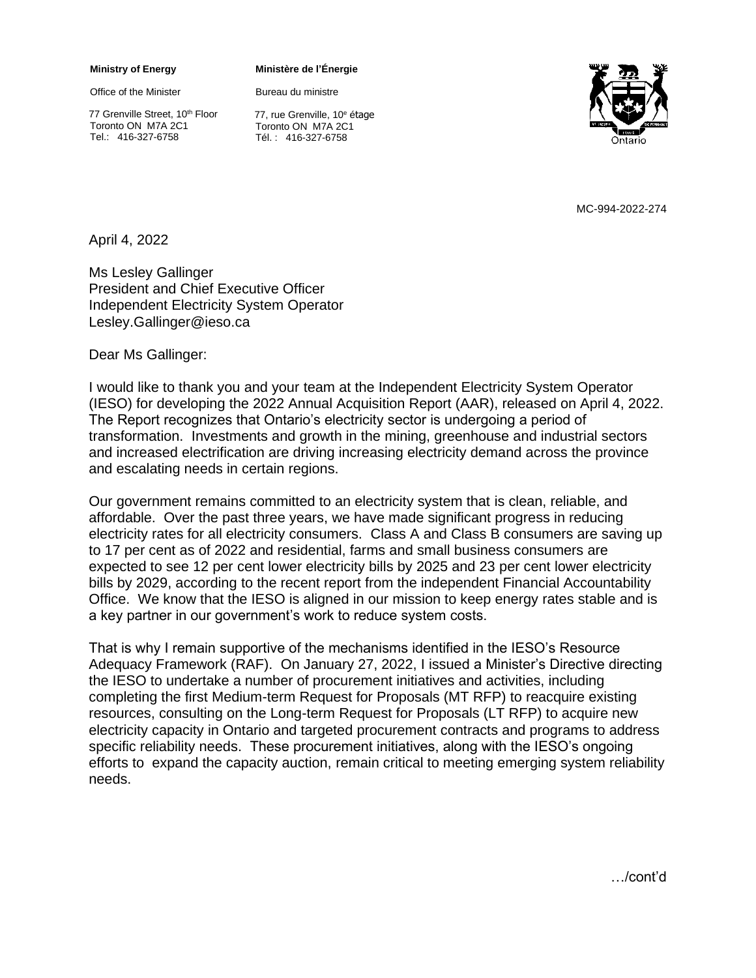## **Ministry of Energy**

Office of the Minister

77 Grenville Street, 10<sup>th</sup> Floor Toronto ON M7A 2C1 Tel.: 416-327-6758

## **Ministère de l'Énergie**

Bureau du ministre

Ontario

77, rue Grenville, 10<sup>e</sup> étage Toronto ON M7A 2C1 Tél. : 416-327-6758

MC-994-2022-274

April 4, 2022

Ms Lesley Gallinger President and Chief Executive Officer Independent Electricity System Operator Lesley.Gallinger@ieso.ca

Dear Ms Gallinger:

I would like to thank you and your team at the Independent Electricity System Operator (IESO) for developing the 2022 Annual Acquisition Report (AAR), released on April 4, 2022. The Report recognizes that Ontario's electricity sector is undergoing a period of transformation. Investments and growth in the mining, greenhouse and industrial sectors and increased electrification are driving increasing electricity demand across the province and escalating needs in certain regions.

Our government remains committed to an electricity system that is clean, reliable, and affordable. Over the past three years, we have made significant progress in reducing electricity rates for all electricity consumers. Class A and Class B consumers are saving up to 17 per cent as of 2022 and residential, farms and small business consumers are expected to see 12 per cent lower electricity bills by 2025 and 23 per cent lower electricity bills by 2029, according to the recent report from the independent Financial Accountability Office. We know that the IESO is aligned in our mission to keep energy rates stable and is a key partner in our government's work to reduce system costs.

That is why I remain supportive of the mechanisms identified in the IESO's Resource Adequacy Framework (RAF). On January 27, 2022, I issued a Minister's Directive directing the IESO to undertake a number of procurement initiatives and activities, including completing the first Medium-term Request for Proposals (MT RFP) to reacquire existing resources, consulting on the Long-term Request for Proposals (LT RFP) to acquire new electricity capacity in Ontario and targeted procurement contracts and programs to address specific reliability needs. These procurement initiatives, along with the IESO's ongoing efforts to expand the capacity auction, remain critical to meeting emerging system reliability needs.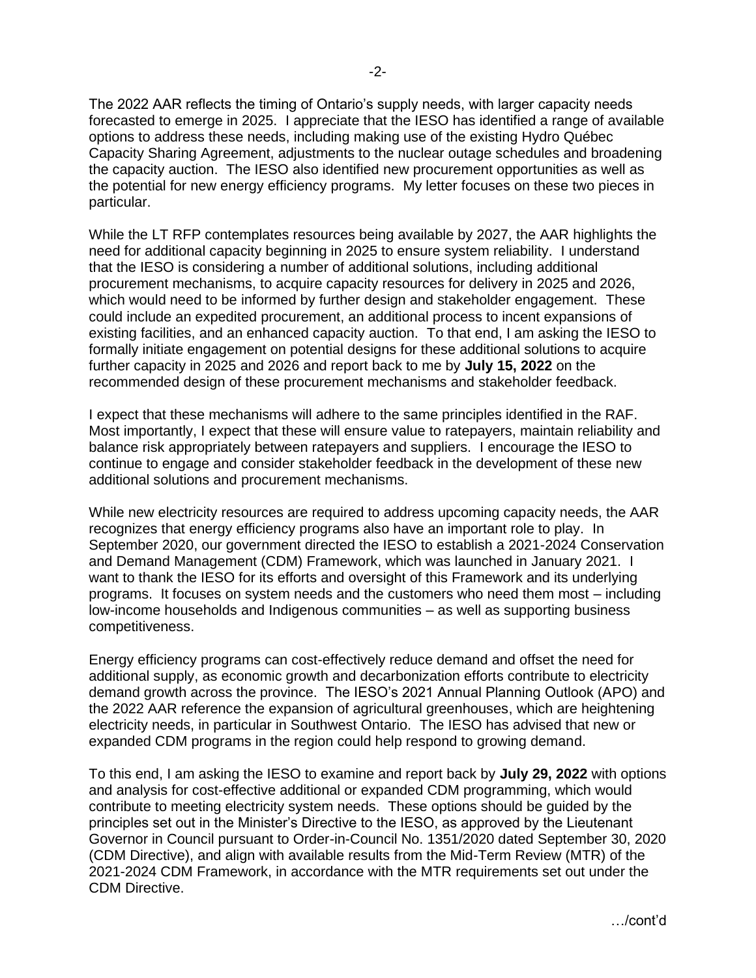The 2022 AAR reflects the timing of Ontario's supply needs, with larger capacity needs forecasted to emerge in 2025. I appreciate that the IESO has identified a range of available options to address these needs, including making use of the existing Hydro Québec Capacity Sharing Agreement, adjustments to the nuclear outage schedules and broadening the capacity auction. The IESO also identified new procurement opportunities as well as the potential for new energy efficiency programs. My letter focuses on these two pieces in particular.

While the LT RFP contemplates resources being available by 2027, the AAR highlights the need for additional capacity beginning in 2025 to ensure system reliability. I understand that the IESO is considering a number of additional solutions, including additional procurement mechanisms, to acquire capacity resources for delivery in 2025 and 2026, which would need to be informed by further design and stakeholder engagement. These could include an expedited procurement, an additional process to incent expansions of existing facilities, and an enhanced capacity auction. To that end, I am asking the IESO to formally initiate engagement on potential designs for these additional solutions to acquire further capacity in 2025 and 2026 and report back to me by **July 15, 2022** on the recommended design of these procurement mechanisms and stakeholder feedback.

I expect that these mechanisms will adhere to the same principles identified in the RAF. Most importantly, I expect that these will ensure value to ratepayers, maintain reliability and balance risk appropriately between ratepayers and suppliers. I encourage the IESO to continue to engage and consider stakeholder feedback in the development of these new additional solutions and procurement mechanisms.

While new electricity resources are required to address upcoming capacity needs, the AAR recognizes that energy efficiency programs also have an important role to play. In September 2020, our government directed the IESO to establish a 2021-2024 Conservation and Demand Management (CDM) Framework, which was launched in January 2021. I want to thank the IESO for its efforts and oversight of this Framework and its underlying programs. It focuses on system needs and the customers who need them most – including low-income households and Indigenous communities – as well as supporting business competitiveness.

Energy efficiency programs can cost-effectively reduce demand and offset the need for additional supply, as economic growth and decarbonization efforts contribute to electricity demand growth across the province. The IESO's 2021 Annual Planning Outlook (APO) and the 2022 AAR reference the expansion of agricultural greenhouses, which are heightening electricity needs, in particular in Southwest Ontario. The IESO has advised that new or expanded CDM programs in the region could help respond to growing demand.

To this end, I am asking the IESO to examine and report back by **July 29, 2022** with options and analysis for cost-effective additional or expanded CDM programming, which would contribute to meeting electricity system needs. These options should be guided by the principles set out in the Minister's Directive to the IESO, as approved by the Lieutenant Governor in Council pursuant to Order-in-Council No. 1351/2020 dated September 30, 2020 (CDM Directive), and align with available results from the Mid-Term Review (MTR) of the 2021-2024 CDM Framework, in accordance with the MTR requirements set out under the CDM Directive.